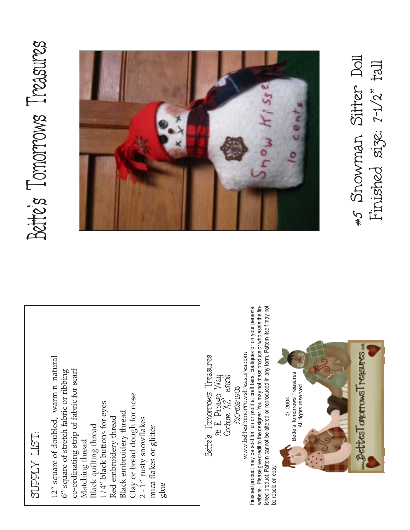# SUPPLY LIST: SUPPLY LIST:

12" square of doubled, warm n' natural 12" square of doubled, warm n' natural co-ordinating strip of fabric for scarf  $6''$  square of stretch fabric or ribbing 6" square of stretch fabric or ribbing co-ordinating strip of fabric for scarf Clay or bread dough for nose Clay or bread dough for nose  $1/4$ " black buttons for eyes  $1/4^{\prime\prime}$  black buttons for eyes Black embroidery thread Black embroidery thread Red embroidery thread 2 - 1" rusty snowflakes Red embroidery thread 2 - 1" rusty snowflakes Black quilting thread mica flakes or glitter Black quilting thread mica flakes or glitter Matching thread Matching thread glue Bette's Tomorrows Treasures<br>78 E. Papago Way<br>Cochise AZ 85606 Bette's Tomorrows Treasures 520-826-1903 520-826-1903

ished product. Pattern cannot be altered or reproduced in any form. Pattern itself may not Finished product may be sold for fun or profit at craft fairs, boutiques or on your personal website. Please give credit to the designer. You may not mass produce or wholesale the fin-Finished product may be sold for fun or profit at craft fairs, boutiques or on your personal website. Please give credit to the designer. You may not mass produce or wholesale the finished product. Pattern cannot be altered or reproduced in any form. Pattern itself may not www.bettestomorrowstreasures.com www.bettestomorrowstreasures.com be resold on ebay. be resold on ebay.



# Bette's Tomorrows Treasures Bette's Tomorrows Treasures



#5 Snowman Sitter Doll<br>Finished size: 7-1/2" tall Finished size: 7-1/2" tall #5 Snowman Sitter Doll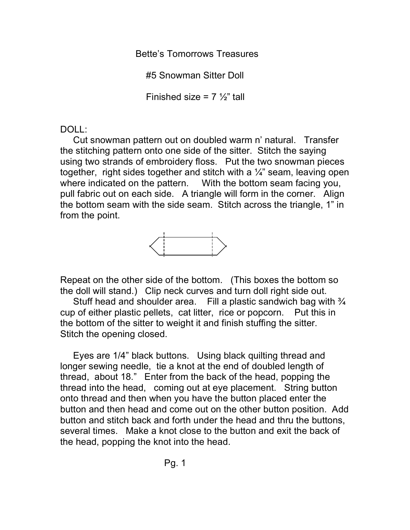Bette's Tomorrows Treasures

#5 Snowman Sitter Doll

Finished size =  $7\frac{1}{2}$ " tall

# DOLL:

Cut snowman pattern out on doubled warm n' natural. Transfer the stitching pattern onto one side of the sitter. Stitch the saying using two strands of embroidery floss. Put the two snowman pieces together, right sides together and stitch with a  $\frac{1}{4}$ " seam, leaving open where indicated on the pattern. With the bottom seam facing you, pull fabric out on each side. A triangle will form in the corner. Align the bottom seam with the side seam. Stitch across the triangle, 1" in from the point.



Repeat on the other side of the bottom. (This boxes the bottom so the doll will stand.) Clip neck curves and turn doll right side out.

Stuff head and shoulder area. Fill a plastic sandwich bag with  $\frac{3}{4}$ cup of either plastic pellets, cat litter, rice or popcorn. Put this in the bottom of the sitter to weight it and finish stuffing the sitter. Stitch the opening closed.

Eyes are 1/4" black buttons. Using black quilting thread and longer sewing needle, tie a knot at the end of doubled length of thread, about 18." Enter from the back of the head, popping the thread into the head, coming out at eye placement. String button onto thread and then when you have the button placed enter the button and then head and come out on the other button position. Add button and stitch back and forth under the head and thru the buttons, several times. Make a knot close to the button and exit the back of the head, popping the knot into the head.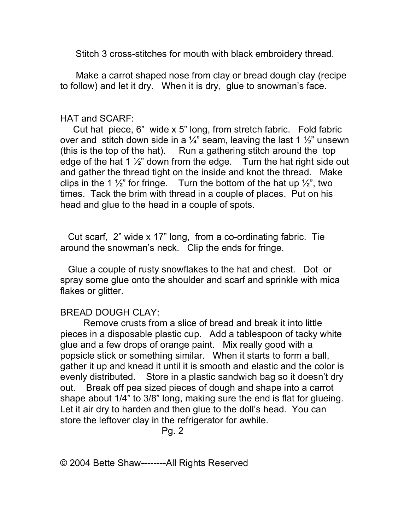Stitch 3 cross-stitches for mouth with black embroidery thread.

Make a carrot shaped nose from clay or bread dough clay (recipe to follow) and let it dry. When it is dry, glue to snowman's face.

### HAT and SCARF:

Cut hat piece, 6" wide x 5" long, from stretch fabric. Fold fabric over and stitch down side in a  $\frac{1}{4}$ " seam, leaving the last 1  $\frac{1}{2}$ " unsewn (this is the top of the hat). Run a gathering stitch around the top edge of the hat 1  $\frac{1}{2}$ " down from the edge. Turn the hat right side out and gather the thread tight on the inside and knot the thread. Make clips in the 1  $\frac{1}{2}$ " for fringe. Turn the bottom of the hat up  $\frac{1}{2}$ ", two times. Tack the brim with thread in a couple of places. Put on his head and glue to the head in a couple of spots.

Cut scarf, 2" wide x 17" long, from a co-ordinating fabric. Tie around the snowman's neck. Clip the ends for fringe.

Glue a couple of rusty snowflakes to the hat and chest. Dot or spray some glue onto the shoulder and scarf and sprinkle with mica flakes or glitter.

## BREAD DOUGH CLAY:

Remove crusts from a slice of bread and break it into little pieces in a disposable plastic cup. Add a tablespoon of tacky white glue and a few drops of orange paint. Mix really good with a popsicle stick or something similar. When it starts to form a ball, gather it up and knead it until it is smooth and elastic and the color is evenly distributed. Store in a plastic sandwich bag so it doesn't dry out. Break off pea sized pieces of dough and shape into a carrot shape about 1/4" to 3/8" long, making sure the end is flat for glueing. Let it air dry to harden and then glue to the doll's head. You can store the leftover clay in the refrigerator for awhile.

Pg. 2

© 2004 Bette Shaw--------All Rights Reserved